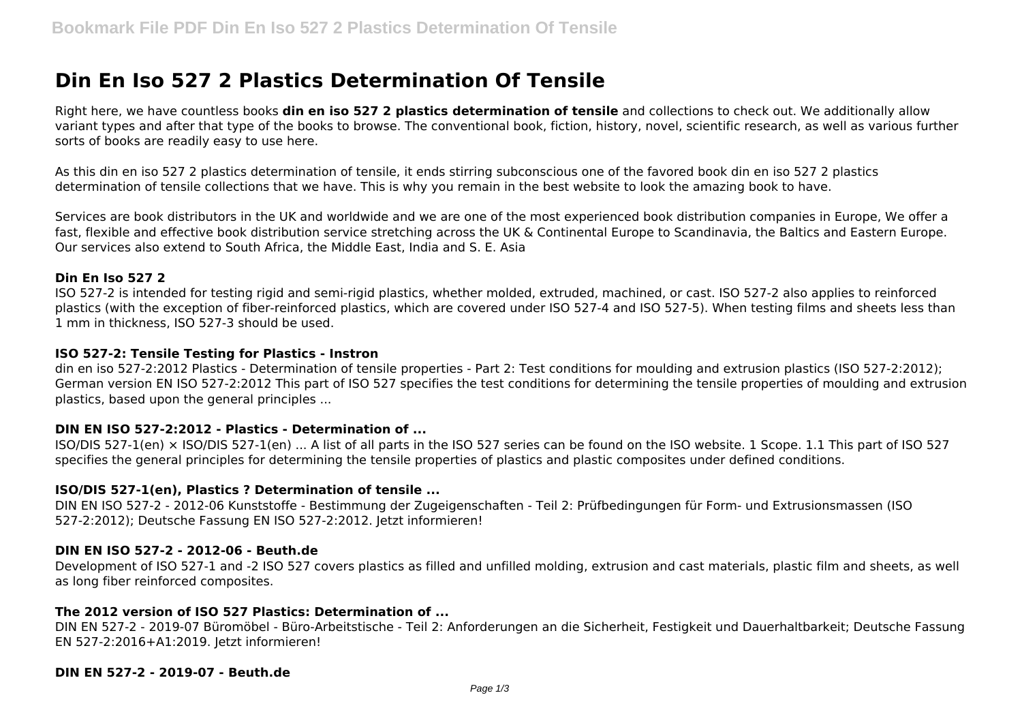# **Din En Iso 527 2 Plastics Determination Of Tensile**

Right here, we have countless books **din en iso 527 2 plastics determination of tensile** and collections to check out. We additionally allow variant types and after that type of the books to browse. The conventional book, fiction, history, novel, scientific research, as well as various further sorts of books are readily easy to use here.

As this din en iso 527 2 plastics determination of tensile, it ends stirring subconscious one of the favored book din en iso 527 2 plastics determination of tensile collections that we have. This is why you remain in the best website to look the amazing book to have.

Services are book distributors in the UK and worldwide and we are one of the most experienced book distribution companies in Europe, We offer a fast, flexible and effective book distribution service stretching across the UK & Continental Europe to Scandinavia, the Baltics and Eastern Europe. Our services also extend to South Africa, the Middle East, India and S. E. Asia

#### **Din En Iso 527 2**

ISO 527-2 is intended for testing rigid and semi-rigid plastics, whether molded, extruded, machined, or cast. ISO 527-2 also applies to reinforced plastics (with the exception of fiber-reinforced plastics, which are covered under ISO 527-4 and ISO 527-5). When testing films and sheets less than 1 mm in thickness, ISO 527-3 should be used.

#### **ISO 527-2: Tensile Testing for Plastics - Instron**

din en iso 527-2:2012 Plastics - Determination of tensile properties - Part 2: Test conditions for moulding and extrusion plastics (ISO 527-2:2012); German version EN ISO 527-2:2012 This part of ISO 527 specifies the test conditions for determining the tensile properties of moulding and extrusion plastics, based upon the general principles ...

#### **DIN EN ISO 527-2:2012 - Plastics - Determination of ...**

ISO/DIS 527-1(en) × ISO/DIS 527-1(en) ... A list of all parts in the ISO 527 series can be found on the ISO website. 1 Scope. 1.1 This part of ISO 527 specifies the general principles for determining the tensile properties of plastics and plastic composites under defined conditions.

#### **ISO/DIS 527-1(en), Plastics ? Determination of tensile ...**

DIN EN ISO 527-2 - 2012-06 Kunststoffe - Bestimmung der Zugeigenschaften - Teil 2: Prüfbedingungen für Form- und Extrusionsmassen (ISO 527-2:2012); Deutsche Fassung EN ISO 527-2:2012. Jetzt informieren!

#### **DIN EN ISO 527-2 - 2012-06 - Beuth.de**

Development of ISO 527-1 and -2 ISO 527 covers plastics as filled and unfilled molding, extrusion and cast materials, plastic film and sheets, as well as long fiber reinforced composites.

#### **The 2012 version of ISO 527 Plastics: Determination of ...**

DIN EN 527-2 - 2019-07 Büromöbel - Büro-Arbeitstische - Teil 2: Anforderungen an die Sicherheit, Festigkeit und Dauerhaltbarkeit; Deutsche Fassung EN 527-2:2016+A1:2019. Jetzt informieren!

#### **DIN EN 527-2 - 2019-07 - Beuth.de**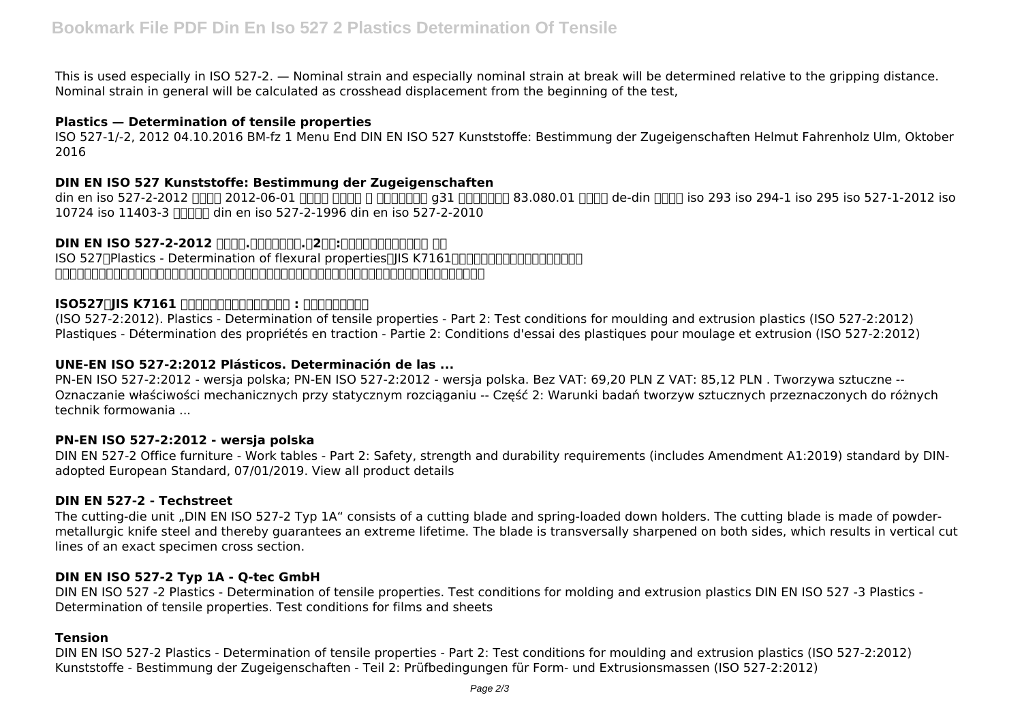This is used especially in ISO 527-2. — Nominal strain and especially nominal strain at break will be determined relative to the gripping distance. Nominal strain in general will be calculated as crosshead displacement from the beginning of the test,

# **Plastics — Determination of tensile properties**

ISO 527-1/-2, 2012 04.10.2016 BM-fz 1 Menu End DIN EN ISO 527 Kunststoffe: Bestimmung der Zugeigenschaften Helmut Fahrenholz Ulm, Oktober 2016

# **DIN EN ISO 527 Kunststoffe: Bestimmung der Zugeigenschaften**

din en iso 527-2-2012 חחר 2012-06-01 חחרו חחרו חחרות a31 חחרותה 83.080.01 חחרות de-din חחרו iso 293 iso 294-1 iso 295 iso 527-1-2012 iso 10724 iso 11403-3 <a>p>
<a>[I</a> din en iso 527-2-2010</a> din en iso 527-2-2010</a>

## **DIN EN ISO 527-2-2012 <u>NNA. ANNIBILA</u>. 2012 PRESENTENT ON EN ISO 527-2-2012** ISO 527 TPlastics - Determination of flexural properties JIS K7161 TOOO - JOOO DOOD DOOD プラスチックなどの樹脂材料の機械的特性を取得するための、引張強度試験方法およびその計測装置精度などが規定されています。

# **ISO527 JIS K7161 TENERATION IN 1999 : HONOROL**

(ISO 527-2:2012). Plastics - Determination of tensile properties - Part 2: Test conditions for moulding and extrusion plastics (ISO 527-2:2012) Plastiques - Détermination des propriétés en traction - Partie 2: Conditions d'essai des plastiques pour moulage et extrusion (ISO 527-2:2012)

# **UNE-EN ISO 527-2:2012 Plásticos. Determinación de las ...**

PN-EN ISO 527-2:2012 - wersja polska; PN-EN ISO 527-2:2012 - wersja polska. Bez VAT: 69,20 PLN Z VAT: 85,12 PLN . Tworzywa sztuczne -- Oznaczanie właściwości mechanicznych przy statycznym rozciąganiu -- Część 2: Warunki badań tworzyw sztucznych przeznaczonych do różnych technik formowania ...

## **PN-EN ISO 527-2:2012 - wersja polska**

DIN EN 527-2 Office furniture - Work tables - Part 2: Safety, strength and durability requirements (includes Amendment A1:2019) standard by DINadopted European Standard, 07/01/2019. View all product details

## **DIN EN 527-2 - Techstreet**

The cutting-die unit "DIN EN ISO 527-2 Typ 1A" consists of a cutting blade and spring-loaded down holders. The cutting blade is made of powdermetallurgic knife steel and thereby guarantees an extreme lifetime. The blade is transversally sharpened on both sides, which results in vertical cut lines of an exact specimen cross section.

## **DIN EN ISO 527-2 Typ 1A - Q-tec GmbH**

DIN EN ISO 527 -2 Plastics - Determination of tensile properties. Test conditions for molding and extrusion plastics DIN EN ISO 527 -3 Plastics - Determination of tensile properties. Test conditions for films and sheets

## **Tension**

DIN EN ISO 527-2 Plastics - Determination of tensile properties - Part 2: Test conditions for moulding and extrusion plastics (ISO 527-2:2012) Kunststoffe - Bestimmung der Zugeigenschaften - Teil 2: Prüfbedingungen für Form- und Extrusionsmassen (ISO 527-2:2012)